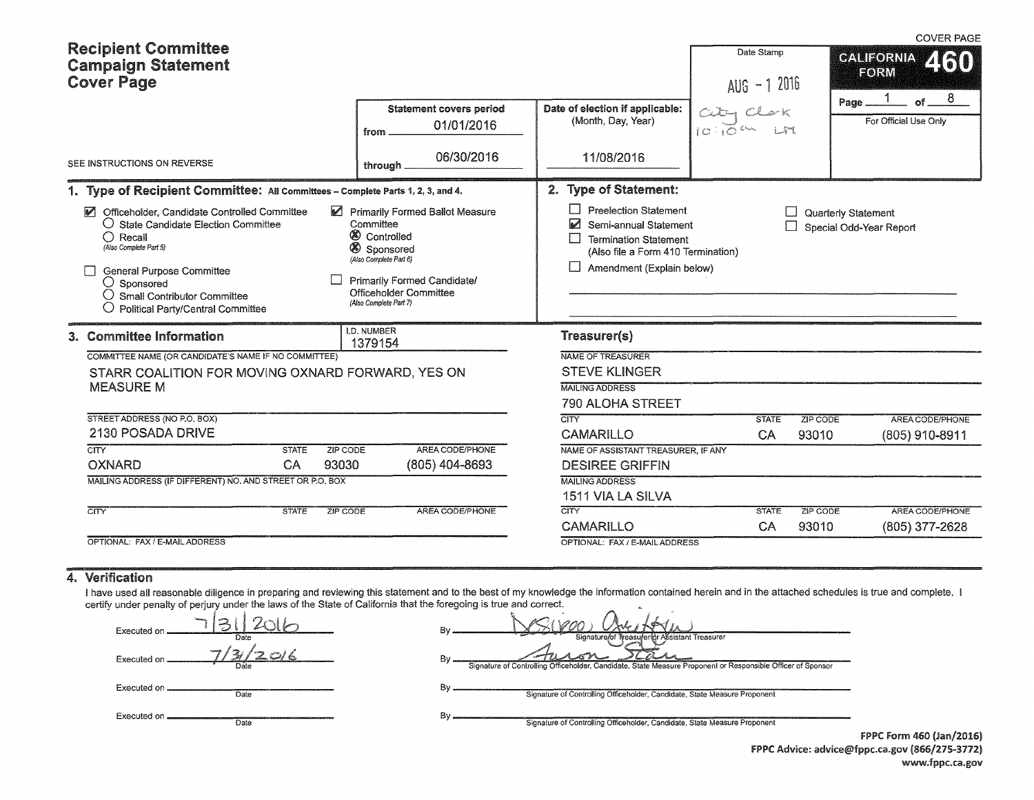|                                                                                                                                                                                                                                                                                                                                                                                                                                                                                                        |                                                                                                                               |                                         |                                                      |                                                                                                                                                                                                                 |                             |          | <b>COVER PAGE</b>                         |  |  |
|--------------------------------------------------------------------------------------------------------------------------------------------------------------------------------------------------------------------------------------------------------------------------------------------------------------------------------------------------------------------------------------------------------------------------------------------------------------------------------------------------------|-------------------------------------------------------------------------------------------------------------------------------|-----------------------------------------|------------------------------------------------------|-----------------------------------------------------------------------------------------------------------------------------------------------------------------------------------------------------------------|-----------------------------|----------|-------------------------------------------|--|--|
|                                                                                                                                                                                                                                                                                                                                                                                                                                                                                                        | <b>Recipient Committee</b><br><b>Campaign Statement</b><br><b>Cover Page</b>                                                  |                                         |                                                      |                                                                                                                                                                                                                 | Date Stamp<br>$AUS - 12016$ |          | <b>CALIFORNIA</b><br>460<br>EORM          |  |  |
|                                                                                                                                                                                                                                                                                                                                                                                                                                                                                                        |                                                                                                                               |                                         | <b>Statement covers period</b><br>01/01/2016<br>from | Date of election if applicable:<br>(Month, Day, Year)                                                                                                                                                           | ು ಐ                         |          | of $ 8$<br>Page_<br>For Official Use Only |  |  |
| SEE INSTRUCTIONS ON REVERSE                                                                                                                                                                                                                                                                                                                                                                                                                                                                            |                                                                                                                               |                                         | 06/30/2016<br>through.                               | 11/08/2016                                                                                                                                                                                                      |                             |          |                                           |  |  |
|                                                                                                                                                                                                                                                                                                                                                                                                                                                                                                        | 1. Type of Recipient Committee: All Committees - Complete Parts 1, 2, 3, and 4.                                               |                                         |                                                      | 2. Type of Statement:                                                                                                                                                                                           |                             |          |                                           |  |  |
| Officeholder, Candidate Controlled Committee<br>Primarily Formed Ballot Measure<br>M<br>$\bigcirc$ State Candidate Election Committee<br>Committee<br><b>8</b> Controlled<br>$\bigcirc$ Recall<br>(Also Complete Part 5)<br>8 Sponsored<br>(Also Complete Part 6)<br><b>General Purpose Committee</b><br>Primarily Formed Candidate/<br>$\bigcirc$ Sponsored<br>Officeholder Committee<br>$\bigcirc$ Small Contributor Committee<br>(Also Complete Part 7)<br><b>Political Party/Central Committee</b> |                                                                                                                               |                                         |                                                      | <b>Preelection Statement</b><br>Quarterly Statement<br>⊠<br>Semi-annual Statement<br>Special Odd-Year Report<br><b>Termination Statement</b><br>(Also file a Form 410 Termination)<br>Amendment (Explain below) |                             |          |                                           |  |  |
|                                                                                                                                                                                                                                                                                                                                                                                                                                                                                                        | 3. Committee Information                                                                                                      |                                         | <b>I.D. NUMBER</b><br>1379154                        | Treasurer(s)                                                                                                                                                                                                    |                             |          |                                           |  |  |
|                                                                                                                                                                                                                                                                                                                                                                                                                                                                                                        | COMMITTEE NAME (OR CANDIDATE'S NAME IF NO COMMITTEE)<br>STARR COALITION FOR MOVING OXNARD FORWARD, YES ON<br><b>MEASURE M</b> |                                         |                                                      | NAME OF TREASURER<br><b>STEVE KLINGER</b><br><b>MAILING ADDRESS</b><br><b>790 ALOHA STREET</b>                                                                                                                  |                             |          |                                           |  |  |
|                                                                                                                                                                                                                                                                                                                                                                                                                                                                                                        | STREET ADDRESS (NO P.O. BOX)                                                                                                  |                                         |                                                      | <b>CITY</b>                                                                                                                                                                                                     | <b>STATE</b>                | ZIP CODE | AREA CODE/PHONE                           |  |  |
|                                                                                                                                                                                                                                                                                                                                                                                                                                                                                                        | 2130 POSADA DRIVE                                                                                                             |                                         |                                                      | CAMARILLO                                                                                                                                                                                                       | CA                          | 93010    | (805) 910-8911                            |  |  |
|                                                                                                                                                                                                                                                                                                                                                                                                                                                                                                        | CITY<br>OXNARD                                                                                                                | ZIP CODE<br><b>STATE</b><br>93030<br>CA | AREA CODE/PHONE<br>(805) 404-8693                    | NAME OF ASSISTANT TREASURER, IF ANY<br><b>DESIREE GRIFFIN</b>                                                                                                                                                   |                             |          |                                           |  |  |
|                                                                                                                                                                                                                                                                                                                                                                                                                                                                                                        | MAILING ADDRESS (IF DIFFERENT) NO. AND STREET OR P.O. BOX                                                                     |                                         |                                                      | <b>MAILING ADDRESS</b>                                                                                                                                                                                          |                             |          |                                           |  |  |
|                                                                                                                                                                                                                                                                                                                                                                                                                                                                                                        |                                                                                                                               |                                         |                                                      | 1511 VIA LA SILVA                                                                                                                                                                                               |                             |          |                                           |  |  |
|                                                                                                                                                                                                                                                                                                                                                                                                                                                                                                        | $\overline{\text{CITY}}$                                                                                                      | <b>STATE</b><br><b>ZIP CODE</b>         | AREA CODE/PHONE                                      | CITY                                                                                                                                                                                                            | <b>STATE</b>                | ZIP CODE | AREA CODE/PHONE                           |  |  |
|                                                                                                                                                                                                                                                                                                                                                                                                                                                                                                        |                                                                                                                               |                                         |                                                      | <b>CAMARILLO</b>                                                                                                                                                                                                | CA                          | 93010    | (805) 377-2628                            |  |  |
|                                                                                                                                                                                                                                                                                                                                                                                                                                                                                                        | OPTIONAL. FAX / E-MAIL ADDRESS                                                                                                |                                         |                                                      | OPTIONAL: FAX / E-MAIL ADDRESS                                                                                                                                                                                  |                             |          |                                           |  |  |

## 4. Verification

I have used all reasonable diligence in preparing and reviewing this statement and to the best of my knowledge the information contained herein and in the attached schedules is true and complete. I certify under penalty of perjury under the laws of the State of California that the foregoing is true and correct.<br>Executed on  $\frac{13!}{20!6}$ 

**Da(e**  Executed on Executed on **CONFIDENT** Date

By -~~~~·~,JJ~1~(0~%+J~KSJ **Treasurer**  By Signature of Controlling Officeholder, Candidate, State Measure Proponent or Responsible Officer of Sponsor

By **Signature of Controlling Officeholder, Candidate, State Measure Proponent** 

Executed on **Date** 

By Signature of Controlling Officeholder, Candidate, State Measure Proponent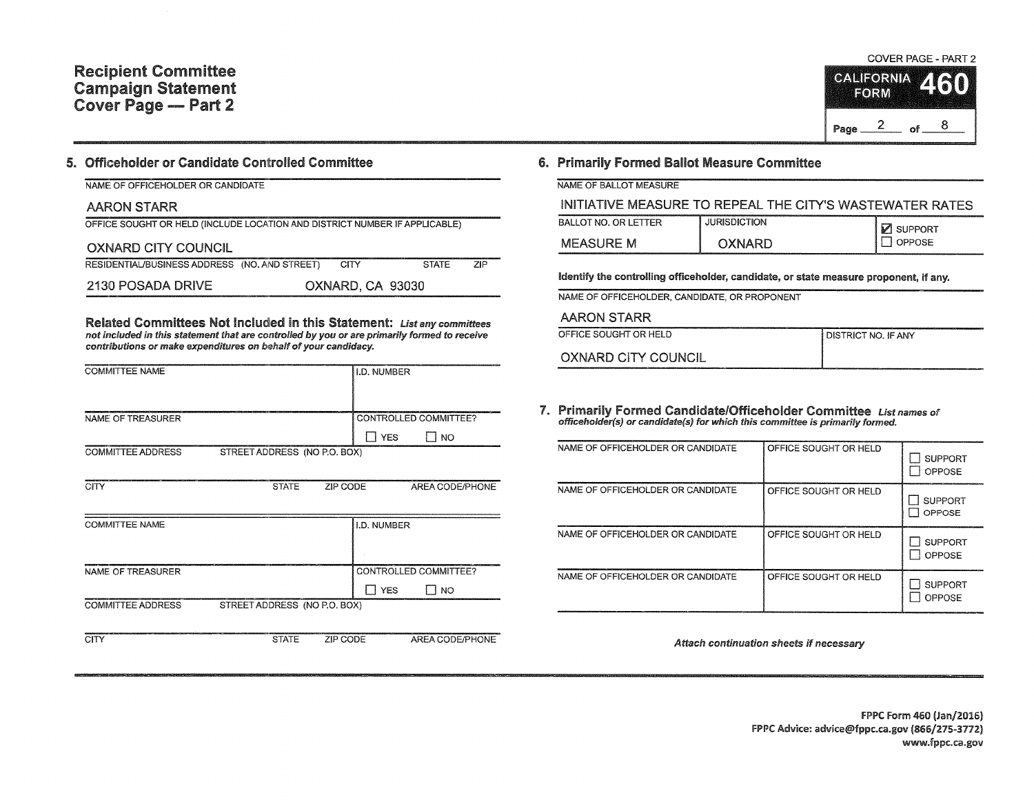## Recipient Committee Campaign Statement Cover Page - Part 2

#### 5. Officeholder or Candidate Controlled Committee

|  | NAME OF OFFICEHOLDER OR CANDIDATE |
|--|-----------------------------------|

## AARON STARR

| OFFICE SOUGHT OR HELD (INCLUDE LOCATION AND DISTRICT NUMBER IF APPLICABLE) |  |
|----------------------------------------------------------------------------|--|
|                                                                            |  |

### OXNARD CITY COUNCIL

| RESIDENTIAL/BUSINESS ADDRESS (NO, AND STREET) | CITY.            | ta 1986) (Alexandra 1986) (Alexandra 1986) (Alexandra 1986) (Alexandra 1986) (Alexandra 1986) (Alexandra 1986) (Alexandra 1986) (Alexandra 1986) (Alexandra 1986) (Alexandra 1986) (Alexandra 1986) (Alexandra 1986) (Alexandr<br><b>STATE</b> | <b>ZIP</b> |
|-----------------------------------------------|------------------|------------------------------------------------------------------------------------------------------------------------------------------------------------------------------------------------------------------------------------------------|------------|
| 2130 POSADA DRIVE                             | OXNARD, CA 93030 |                                                                                                                                                                                                                                                |            |

Related Committees Not Included in this Statement: List any committees not included in this statement that are controlled by you or are primarily formed to receive contributions or make expenditures on behalf of your candidacy.

| <b>COMMITTEE NAME</b>    |                              |          | I.D. NUMBER |                       |
|--------------------------|------------------------------|----------|-------------|-----------------------|
|                          |                              |          |             |                       |
| <b>NAME OF TREASURER</b> |                              |          |             | CONTROLLED COMMITTEE? |
|                          |                              |          | II YES      | I NO                  |
| <b>COMMITTEE ADDRESS</b> | STREET ADDRESS (NO P.O. BOX) |          |             |                       |
|                          |                              |          |             |                       |
| <b>CITY</b>              | <b>STATE</b>                 | ZIP CODE |             | AREA CODE/PHONE       |
|                          |                              |          |             |                       |
| <b>COMMITTEE NAME</b>    |                              |          | I.D. NUMBER |                       |
|                          |                              |          |             |                       |
|                          |                              |          |             |                       |
| NAME OF TREASURER        |                              |          |             | CONTROLLED COMMITTEE? |
|                          |                              |          | <b>YES</b>  | $\blacksquare$ NO     |
| <b>COMMITTEE ADDRESS</b> | STREET ADDRESS (NO P.O. BOX) |          |             |                       |
|                          |                              |          |             |                       |
| <b>CITY</b>              | <b>STATE</b>                 | ZIP CODE |             | AREA CODE/PHONE       |

## 6. Primarily Formed Ballot Measure Committee

NAME OF BALLOT MEASURE

## INITIATIVE MEASURE TO REPEAL THE CITY'S WASTEWATER RATES

| <b>A REPORT OF A REPORT OF A REPORT OF A REPORT OF A REPORT OF A REPORT OF A REPORT OF A REPORT OF A REPORT OF A</b><br>BALLOT NO. OR LETTER | <b>JURISDICTION</b> | <b>M</b> SUPPORT |
|----------------------------------------------------------------------------------------------------------------------------------------------|---------------------|------------------|
| <b>MEASURE M</b>                                                                                                                             | OXNARD              | <b>OPPOSE</b>    |

Identify the controlling officeholder, candidate, or state measure proponent, if any.

NAME OF OFFICEHOLDER, CANDIDATE, OR PROPONENT

AARON STARR

OFFICE SOUGHT OR HELD DISTRICT NO. IF ANY

OXNARD CITY COUNCIL

7. Primarily Formed Candidate/Officeholder Committee List names of officenolder (s) or candidate(s) for which this committee is primarily formed.

| NAME OF OFFICEHOLDER OR CANDIDATE | OFFICE SOUGHT OR HELD | <b>SUPPORT</b><br>OPPOSE |
|-----------------------------------|-----------------------|--------------------------|
| NAME OF OFFICEHOLDER OR CANDIDATE | OFFICE SOUGHT OR HELD | <b>SUPPORT</b><br>OPPOSE |
| NAME OF OFFICEHOLDER OR CANDIDATE | OFFICE SOUGHT OR HELD | <b>SUPPORT</b><br>OPPOSE |
| NAME OF OFFICEHOLDER OR CANDIDATE | OFFICE SOUGHT OR HELD | <b>SUPPORT</b><br>OPPOSE |

Attach continuation sheets if necessary

FPPC Form 460 (Jan/2016) FPPC Advice: advice@fppc.ca.gov (866/275-3112) www.fppc.ca.gov

COVER PAGE - PART 2

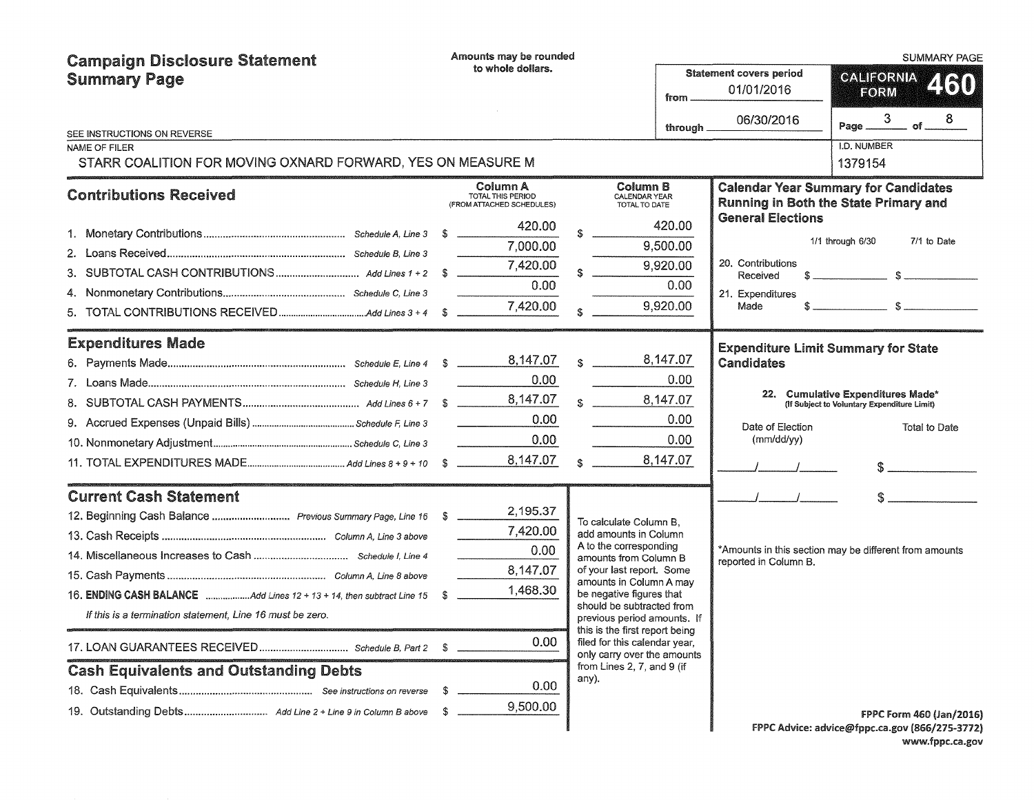| <b>Campaign Disclosure Statement</b>                        |                   | Amounts may be rounded                                     |  |                                                               |                                                        |                                            | <b>SUMMARY PAGE</b>                                                                                                                                                                                                                                                                                                                                                                                                               |  |
|-------------------------------------------------------------|-------------------|------------------------------------------------------------|--|---------------------------------------------------------------|--------------------------------------------------------|--------------------------------------------|-----------------------------------------------------------------------------------------------------------------------------------------------------------------------------------------------------------------------------------------------------------------------------------------------------------------------------------------------------------------------------------------------------------------------------------|--|
| <b>Summary Page</b>                                         | to whole dollars. |                                                            |  |                                                               | <b>Statement covers period</b><br>01/01/2016<br>from . |                                            | <b>CALIFORNIA</b><br>460<br>FORM                                                                                                                                                                                                                                                                                                                                                                                                  |  |
|                                                             |                   |                                                            |  |                                                               | through.                                               | 06/30/2016                                 | $-$ of $ 8$<br>3<br>Page _                                                                                                                                                                                                                                                                                                                                                                                                        |  |
| SEE INSTRUCTIONS ON REVERSE<br>NAME OF FILER                |                   |                                                            |  |                                                               |                                                        |                                            | I.D. NUMBER                                                                                                                                                                                                                                                                                                                                                                                                                       |  |
| STARR COALITION FOR MOVING OXNARD FORWARD, YES ON MEASURE M |                   |                                                            |  |                                                               |                                                        |                                            | 1379154                                                                                                                                                                                                                                                                                                                                                                                                                           |  |
| <b>Contributions Received</b>                               |                   | Column A<br>TOTAL THIS PERIOD<br>(FROM ATTACHED SCHEDULES) |  | Column B<br>CALENDAR YEAR<br>TOTAL TO DATE                    |                                                        |                                            | <b>Calendar Year Summary for Candidates</b><br>Running in Both the State Primary and                                                                                                                                                                                                                                                                                                                                              |  |
|                                                             |                   | 420.00                                                     |  |                                                               | 420.00                                                 | <b>General Elections</b>                   |                                                                                                                                                                                                                                                                                                                                                                                                                                   |  |
|                                                             |                   | 7,000.00                                                   |  |                                                               | 9,500.00                                               |                                            | 1/1 through 6/30<br>7/1 to Date                                                                                                                                                                                                                                                                                                                                                                                                   |  |
|                                                             |                   | 7,420.00                                                   |  |                                                               | 9,920.00                                               | 20. Contributions                          |                                                                                                                                                                                                                                                                                                                                                                                                                                   |  |
|                                                             |                   | 0.00                                                       |  |                                                               | 0.00                                                   | Received                                   |                                                                                                                                                                                                                                                                                                                                                                                                                                   |  |
|                                                             |                   | 7,420.00                                                   |  |                                                               | 9,920.00                                               | 21. Expenditures<br>Made                   | $\hat{\mathbf{s}}$ $\hat{\mathbf{s}}$ $\hat{\mathbf{s}}$ $\hat{\mathbf{s}}$ $\hat{\mathbf{s}}$ $\hat{\mathbf{s}}$ $\hat{\mathbf{s}}$ $\hat{\mathbf{s}}$ $\hat{\mathbf{s}}$ $\hat{\mathbf{s}}$ $\hat{\mathbf{s}}$ $\hat{\mathbf{s}}$ $\hat{\mathbf{s}}$ $\hat{\mathbf{s}}$ $\hat{\mathbf{s}}$ $\hat{\mathbf{s}}$ $\hat{\mathbf{s}}$ $\hat{\mathbf{s}}$ $\hat{\mathbf{s}}$ $\hat{\mathbf{s}}$ $\hat{\mathbf{s}}$ $\hat{\mathbf{s}}$ |  |
|                                                             |                   |                                                            |  |                                                               |                                                        |                                            |                                                                                                                                                                                                                                                                                                                                                                                                                                   |  |
| <b>Expenditures Made</b>                                    |                   |                                                            |  |                                                               |                                                        | <b>Expenditure Limit Summary for State</b> |                                                                                                                                                                                                                                                                                                                                                                                                                                   |  |
|                                                             |                   |                                                            |  |                                                               | 8,147.07                                               | <b>Candidates</b>                          |                                                                                                                                                                                                                                                                                                                                                                                                                                   |  |
|                                                             |                   | 0.00                                                       |  |                                                               | 0.00                                                   |                                            | 22. Cumulative Expenditures Made*                                                                                                                                                                                                                                                                                                                                                                                                 |  |
|                                                             |                   | 8,147.07                                                   |  |                                                               | 8,147.07                                               |                                            | (If Subject to Voluntary Expenditure Limit)                                                                                                                                                                                                                                                                                                                                                                                       |  |
|                                                             |                   | 0.00                                                       |  |                                                               | 0.00                                                   | Date of Election                           | Total to Date                                                                                                                                                                                                                                                                                                                                                                                                                     |  |
|                                                             |                   | 0.00                                                       |  |                                                               | 0.00                                                   | (mm/dd/yy)                                 |                                                                                                                                                                                                                                                                                                                                                                                                                                   |  |
|                                                             |                   | 8,147.07                                                   |  |                                                               | 8,147.07                                               |                                            |                                                                                                                                                                                                                                                                                                                                                                                                                                   |  |
| <b>Current Cash Statement</b>                               |                   |                                                            |  |                                                               |                                                        |                                            |                                                                                                                                                                                                                                                                                                                                                                                                                                   |  |
|                                                             |                   | 2,195.37                                                   |  |                                                               |                                                        |                                            |                                                                                                                                                                                                                                                                                                                                                                                                                                   |  |
|                                                             |                   | 7,420.00                                                   |  | To calculate Column B.<br>add amounts in Column               |                                                        |                                            |                                                                                                                                                                                                                                                                                                                                                                                                                                   |  |
|                                                             |                   | 0.00                                                       |  | A to the corresponding                                        |                                                        |                                            | *Amounts in this section may be different from amounts                                                                                                                                                                                                                                                                                                                                                                            |  |
|                                                             |                   | 8,147.07                                                   |  | amounts from Column B<br>of your last report. Some            |                                                        | reported in Column B.                      |                                                                                                                                                                                                                                                                                                                                                                                                                                   |  |
|                                                             |                   | 1,468.30                                                   |  | amounts in Column A may<br>be negative figures that           |                                                        |                                            |                                                                                                                                                                                                                                                                                                                                                                                                                                   |  |
| If this is a termination statement, Line 16 must be zero.   |                   |                                                            |  | should be subtracted from                                     |                                                        |                                            |                                                                                                                                                                                                                                                                                                                                                                                                                                   |  |
|                                                             |                   |                                                            |  | previous period amounts. If<br>this is the first report being |                                                        |                                            |                                                                                                                                                                                                                                                                                                                                                                                                                                   |  |
|                                                             |                   | 0.00                                                       |  | filed for this calendar year.<br>only carry over the amounts  |                                                        |                                            |                                                                                                                                                                                                                                                                                                                                                                                                                                   |  |
| <b>Cash Equivalents and Outstanding Debts</b>               |                   |                                                            |  | from Lines 2, 7, and 9 (if<br>any).                           |                                                        |                                            |                                                                                                                                                                                                                                                                                                                                                                                                                                   |  |
|                                                             | \$                | 0.00                                                       |  |                                                               |                                                        |                                            |                                                                                                                                                                                                                                                                                                                                                                                                                                   |  |
| 19. Outstanding Debts Add Line 2 + Line 9 in Column B above | S                 | 9,500.00                                                   |  |                                                               |                                                        |                                            | FPPC Form 460 (Jan/2016)                                                                                                                                                                                                                                                                                                                                                                                                          |  |
|                                                             |                   |                                                            |  |                                                               |                                                        |                                            | FPPC Advice: advice@fppc.ca.gov (866/275-3772)                                                                                                                                                                                                                                                                                                                                                                                    |  |

FPPC Advice: advice@fppc.ca.gov (866/275-3772)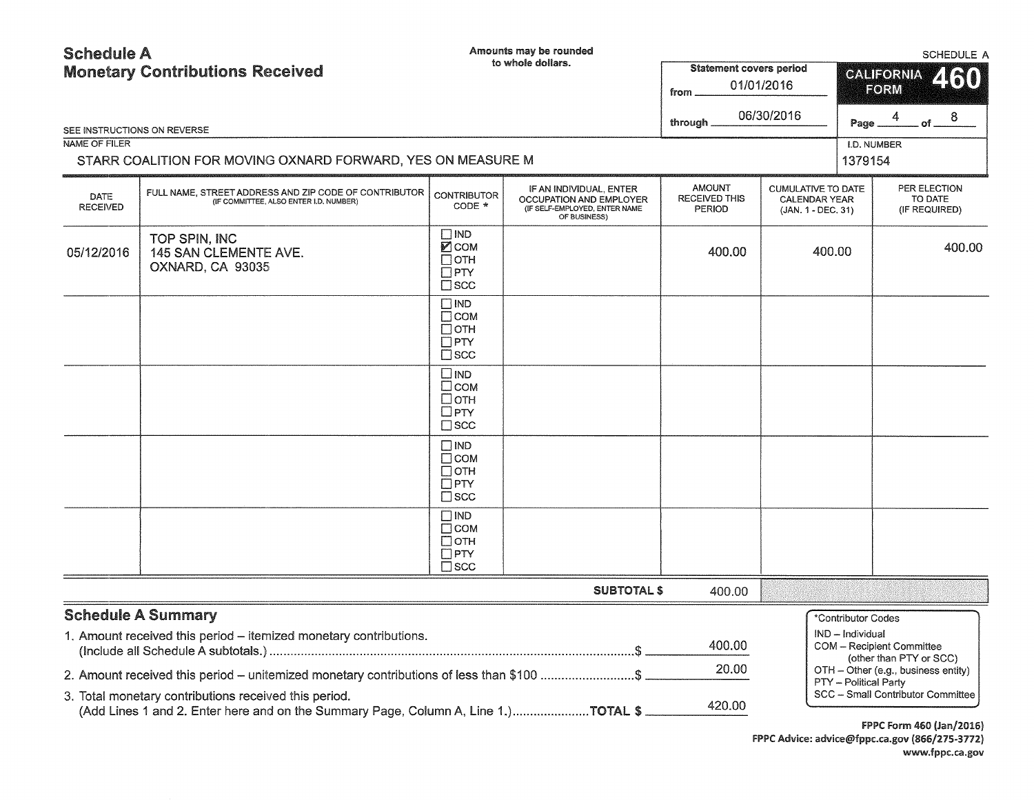# Schedule A

Amounts may be rounded

SCHEDULE A

| <b>Monetary Contributions Received</b><br>SEE INSTRUCTIONS ON REVERSE |                                                                                                                                             |                                                                          | to whole dollars.                                                                                   | <b>Statement covers period</b><br>01/01/2016<br>from<br>06/30/2016<br>through | <b>CALIFORNIA</b><br>FORM<br>of $^8$<br>4<br>Page.                      |                                        | OUILDULL A<br>460                                           |                                          |
|-----------------------------------------------------------------------|---------------------------------------------------------------------------------------------------------------------------------------------|--------------------------------------------------------------------------|-----------------------------------------------------------------------------------------------------|-------------------------------------------------------------------------------|-------------------------------------------------------------------------|----------------------------------------|-------------------------------------------------------------|------------------------------------------|
| NAME OF FILER                                                         |                                                                                                                                             |                                                                          |                                                                                                     |                                                                               |                                                                         | I.D. NUMBER                            |                                                             |                                          |
|                                                                       | STARR COALITION FOR MOVING OXNARD FORWARD, YES ON MEASURE M                                                                                 |                                                                          |                                                                                                     |                                                                               |                                                                         | 1379154                                |                                                             |                                          |
| <b>DATE</b><br><b>RECEIVED</b>                                        | FULL NAME, STREET ADDRESS AND ZIP CODE OF CONTRIBUTOR<br>(IF COMMITTEE, ALSO ENTER I.D. NUMBER)                                             | <b>CONTRIBUTOR</b><br>$CODE *$                                           | IF AN INDIVIDUAL, ENTER<br>OCCUPATION AND EMPLOYER<br>(IF SELF-EMPLOYED, ENTER NAME<br>OF BUSINESS) | <b>AMOUNT</b><br><b>RECEIVED THIS</b><br><b>PERIOD</b>                        | <b>CUMULATIVE TO DATE</b><br><b>CALENDAR YEAR</b><br>(JAN. 1 - DEC. 31) |                                        |                                                             | PER ELECTION<br>TO DATE<br>(IF REQUIRED) |
| 05/12/2016                                                            | TOP SPIN, INC<br>145 SAN CLEMENTE AVE.<br>OXNARD, CA 93035                                                                                  | $\square$ IND<br>Исом<br>Потн<br>$\Box$ PTY<br>$\square$ scc             |                                                                                                     | 400.00                                                                        | 400.00                                                                  |                                        |                                                             | 400.00                                   |
|                                                                       |                                                                                                                                             | $\square$ IND<br>$\Box$ COM<br>$\Box$ OTH<br>$\Box$ PTY<br>$\Box$ scc    |                                                                                                     |                                                                               |                                                                         |                                        |                                                             |                                          |
|                                                                       |                                                                                                                                             | $\square$ IND<br>□сом<br>$\Box$ OTH<br>$\Box$ PTY<br>$\square$ scc       |                                                                                                     |                                                                               |                                                                         |                                        |                                                             |                                          |
|                                                                       |                                                                                                                                             | $\square$ IND<br>$\Box$ COM<br>$\Box$ OTH<br>$\Box$ PTY<br>$\square$ SCC |                                                                                                     |                                                                               |                                                                         |                                        |                                                             |                                          |
|                                                                       |                                                                                                                                             | $\square$ IND<br>$\Box$ COM<br>$\Box$ OTH<br>$\Box$ PTY<br>$\Box$ SCC    |                                                                                                     |                                                                               |                                                                         |                                        |                                                             |                                          |
|                                                                       |                                                                                                                                             |                                                                          | <b>SUBTOTAL \$</b>                                                                                  | 400.00                                                                        |                                                                         |                                        |                                                             |                                          |
|                                                                       | <b>Schedule A Summary</b><br>1. Amount received this period - itemized monetary contributions.                                              |                                                                          |                                                                                                     | 400.00                                                                        |                                                                         | *Contributor Codes<br>IND - Individual | <b>COM</b> - Recipient Committee<br>(other than PTY or SCC) |                                          |
|                                                                       | 2. Amount received this period – unitemized monetary contributions of less than \$100 \$                                                    |                                                                          |                                                                                                     | 20.00                                                                         |                                                                         |                                        |                                                             | OTH - Other (e.g., business entity)      |
|                                                                       | 3. Total monetary contributions received this period.<br>(Add Lines 1 and 2. Enter here and on the Summary Page, Column A, Line 1.)TOTAL \$ |                                                                          |                                                                                                     | 420.00                                                                        |                                                                         | <b>PTY</b> - Political Party           |                                                             | SCC - Small Contributor Committee        |

f PPC Form 460 (Jan/2016) FPPC Advice: advice@fppc.ca.gov (866/275-3772) www.fppc.ca.gov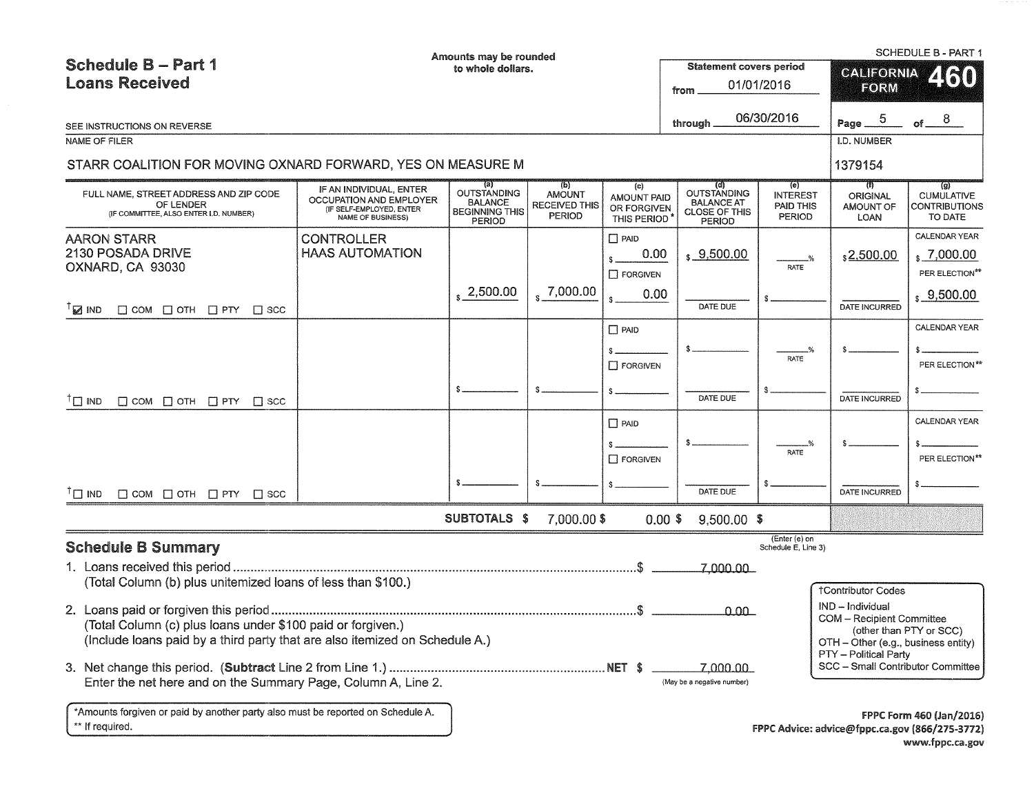| <b>Schedule B - Part 1</b><br><b>Loans Received</b>                                                                                        | Amounts may be rounded<br>to whole dollars.                                                                |                                                                         |                                                                                     | <b>Statement covers period</b><br>from           | 01/01/2016                                                                              | <b>SCHEDULE B - PART 1</b><br><b>CALIFORNIA</b><br>2160<br>FORM |                                                                                                               |                                                                                                      |
|--------------------------------------------------------------------------------------------------------------------------------------------|------------------------------------------------------------------------------------------------------------|-------------------------------------------------------------------------|-------------------------------------------------------------------------------------|--------------------------------------------------|-----------------------------------------------------------------------------------------|-----------------------------------------------------------------|---------------------------------------------------------------------------------------------------------------|------------------------------------------------------------------------------------------------------|
| SEE INSTRUCTIONS ON REVERSE                                                                                                                |                                                                                                            |                                                                         |                                                                                     |                                                  | through                                                                                 | 06/30/2016                                                      | 5<br>Page _                                                                                                   | of $ ^{8}$                                                                                           |
| NAME OF FILER                                                                                                                              |                                                                                                            |                                                                         |                                                                                     |                                                  |                                                                                         |                                                                 | I.D. NUMBER                                                                                                   |                                                                                                      |
| STARR COALITION FOR MOVING OXNARD FORWARD, YES ON MEASURE M                                                                                |                                                                                                            |                                                                         |                                                                                     |                                                  |                                                                                         |                                                                 | 1379154                                                                                                       |                                                                                                      |
| FULL NAME, STREET ADDRESS AND ZIP CODE<br>OF LENDER<br>(IF COMMITTEE, ALSO ENTER I.D. NUMBER)                                              | IF AN INDIVIDUAL, ENTER<br>OCCUPATION AND EMPLOYER<br>(IF SELF-EMPLOYED, ENTER<br><b>NAME OF BUSINESS)</b> | <b>OUTSTANDING</b><br><b>BALANCE</b><br><b>BEGINNING THIS</b><br>PERIOD | $\mathcal{L}(\mathsf{p})$<br><b>AMOUNT</b><br><b>RECEIVED THIS</b><br><b>PERIOD</b> | (c)<br>AMOUNT PAID<br>OR FORGIVEN<br>THIS PERIOD | (d)<br><b>OUTSTANDING</b><br><b>BALANCE AT</b><br><b>CLOSE OF THIS</b><br><b>PERIOD</b> | (e)<br><b>INTEREST</b><br>PAID THIS<br><b>PERIOD</b>            | $1$<br>ORIGINAL<br>AMOUNT OF<br>LOAN                                                                          | (g)<br><b>CUMULATIVE</b><br><b>CONTRIBUTIONS</b><br>TO DATE                                          |
| <b>AARON STARR</b><br>2130 POSADA DRIVE<br>OXNARD, CA 93030                                                                                | <b>CONTROLLER</b><br><b>HAAS AUTOMATION</b>                                                                | $\frac{1}{2}$ , 2,500.00                                                | , 7,000.00                                                                          | $\Box$ PAID<br>0.00<br>$\Box$ FORGIVEN<br>0.00   | \$9,500.00                                                                              | <b>RATE</b>                                                     | \$2,500.00                                                                                                    | CALENDAR YEAR<br>, 7,000.00<br>PER ELECTION**<br>$\,$ \$ 9,500.00                                    |
| $^{\dagger}$ MD<br>$\Box$ COM $\Box$ OTH $\Box$ PTY $\Box$ SCC                                                                             |                                                                                                            |                                                                         |                                                                                     | \$                                               | DATE DUE                                                                                |                                                                 | DATE INCURRED                                                                                                 |                                                                                                      |
| $\dagger$ $\square$ IND<br>$\Box$ COM $\Box$ OTH $\Box$ PTY $\Box$ SCC                                                                     |                                                                                                            |                                                                         |                                                                                     | P AID<br>$\Box$ FORGIVEN                         | DATE DUE                                                                                | <b>RATE</b>                                                     | DATE INCURRED                                                                                                 | CALENDAR YEAR<br>PER ELECTION**                                                                      |
|                                                                                                                                            |                                                                                                            |                                                                         |                                                                                     | $\Box$ PAID<br>$\Box$ FORGIVEN                   |                                                                                         | RATE                                                            |                                                                                                               | <b>CALENDAR YEAR</b><br>PER ELECTION <sup>**</sup>                                                   |
| $T \square$ IND<br>$\Box$ COM $\Box$ OTH $\Box$ PTY $\Box$ SCC                                                                             |                                                                                                            |                                                                         |                                                                                     |                                                  | DATE DUE                                                                                |                                                                 | DATE INCURRED                                                                                                 |                                                                                                      |
|                                                                                                                                            |                                                                                                            | SUBTOTALS \$                                                            | 7,000.00 \$                                                                         |                                                  | $0.00$ \$<br>$9,500.00$ \$                                                              |                                                                 |                                                                                                               |                                                                                                      |
| <b>Schedule B Summary</b><br>(Total Column (b) plus unitemized loans of less than \$100.)                                                  |                                                                                                            |                                                                         |                                                                                     |                                                  | 7,000.00                                                                                | (Enter (e) on<br>Schedule E, Line 3)                            | <b>†Contributor Codes</b>                                                                                     |                                                                                                      |
| (Total Column (c) plus loans under \$100 paid or forgiven.)<br>(Include loans paid by a third party that are also itemized on Schedule A.) |                                                                                                            |                                                                         |                                                                                     |                                                  | 0.00                                                                                    |                                                                 | IND - Individual<br>COM - Recipient Committee<br>OTH - Other (e.g., business entity)<br>PTY - Political Party | (other than PTY or SCC)                                                                              |
| Enter the net here and on the Summary Page, Column A, Line 2.                                                                              |                                                                                                            |                                                                         |                                                                                     |                                                  | 7,000.00<br>(May be a negative number)                                                  |                                                                 | SCC - Small Contributor Committee                                                                             |                                                                                                      |
| *Amounts forgiven or paid by another party also must be reported on Schedule A.<br>** If required.                                         |                                                                                                            |                                                                         |                                                                                     |                                                  |                                                                                         |                                                                 |                                                                                                               | <b>FPPC Form 460 (Jan/2016)</b><br>FPPC Advice: advice@fppc.ca.gov (866/275-3772)<br>www.fppc.ca.gov |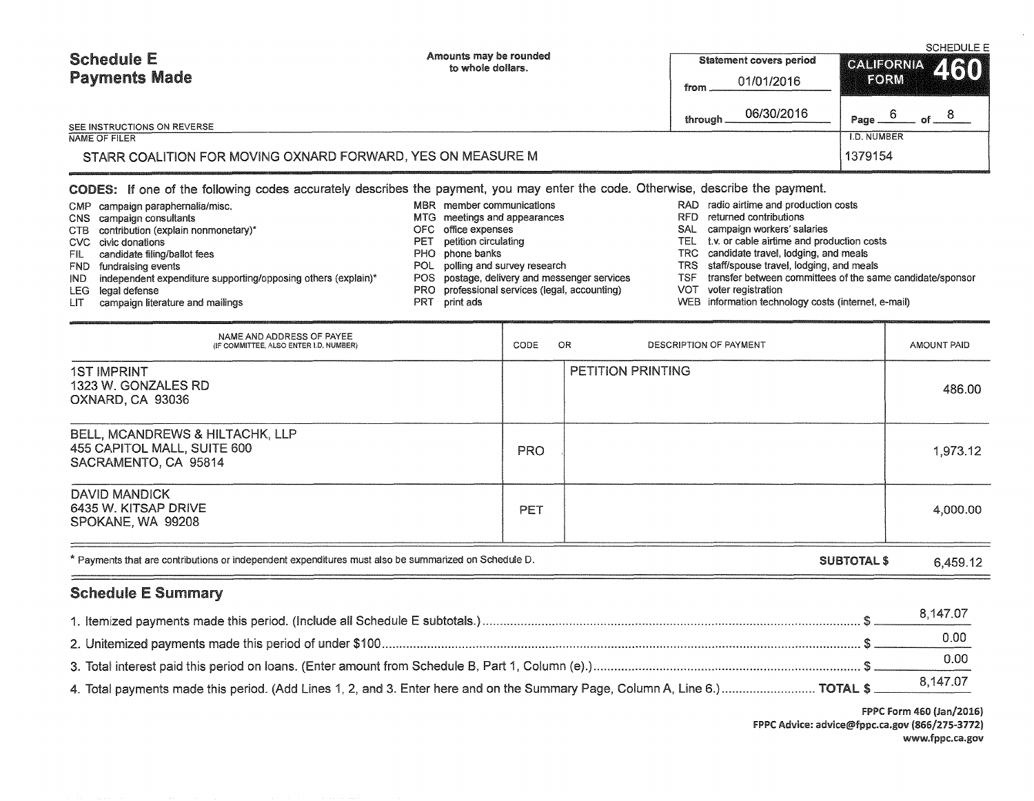| <b>Schedule E</b><br><b>Payments Made</b>                                                                                                                                                                                                                                                                                                                        | Amounts may be rounded<br>to whole dollars.                                                                                                                                                                                                                                                                   | <b>Statement covers period</b><br>01/01/2016<br>from<br>06/30/2016<br>through.                                                                                                                                                                                                                                                                                           | <b>SCHEDULE E</b><br>CALIFORNIA 460<br><b>EORM</b><br>6<br>Page. |  |  |  |  |  |
|------------------------------------------------------------------------------------------------------------------------------------------------------------------------------------------------------------------------------------------------------------------------------------------------------------------------------------------------------------------|---------------------------------------------------------------------------------------------------------------------------------------------------------------------------------------------------------------------------------------------------------------------------------------------------------------|--------------------------------------------------------------------------------------------------------------------------------------------------------------------------------------------------------------------------------------------------------------------------------------------------------------------------------------------------------------------------|------------------------------------------------------------------|--|--|--|--|--|
| SEE INSTRUCTIONS ON REVERSE<br>NAME OF FILER                                                                                                                                                                                                                                                                                                                     |                                                                                                                                                                                                                                                                                                               |                                                                                                                                                                                                                                                                                                                                                                          | <b>I.D. NUMBER</b>                                               |  |  |  |  |  |
|                                                                                                                                                                                                                                                                                                                                                                  | 1379154<br>STARR COALITION FOR MOVING OXNARD FORWARD, YES ON MEASURE M                                                                                                                                                                                                                                        |                                                                                                                                                                                                                                                                                                                                                                          |                                                                  |  |  |  |  |  |
|                                                                                                                                                                                                                                                                                                                                                                  | CODES: If one of the following codes accurately describes the payment, you may enter the code. Otherwise, describe the payment.                                                                                                                                                                               |                                                                                                                                                                                                                                                                                                                                                                          |                                                                  |  |  |  |  |  |
| campaign paraphernalia/misc.<br>CMP.<br>campaign consultants<br>CNS.<br>contribution (explain nonmonetary)*<br>CTB<br>civic donations<br>CVC.<br>candidate filing/ballot fees<br>FIL.<br>fundraising events<br>FND.<br>independent expenditure supporting/opposing others (explain)*<br>IND.<br>LEG-<br>legal defense<br>campaign literature and mailings<br>LIT | MBR member communications<br>meetings and appearances<br>MTG.<br>office expenses<br>OFC.<br>petition circulating<br>PET<br>phone banks<br>PHO.<br>POL polling and survey research<br>POS postage, delivery and messenger services<br>PRO professional services (legal, accounting)<br>print ads<br><b>PRT</b> | RAD radio airtime and production costs<br>returned contributions<br>RFD<br>campaign workers' salaries<br>SAL<br>t.v. or cable airtime and production costs<br><b>TEL</b><br>candidate travel, lodging, and meals<br>TRC .<br>staff/spouse travel, lodging, and meals<br>TRS.<br>TSF.<br>VOT<br>voter registration<br>WEB information technology costs (internet, e-mail) | transfer between committees of the same candidate/sponsor        |  |  |  |  |  |
|                                                                                                                                                                                                                                                                                                                                                                  |                                                                                                                                                                                                                                                                                                               |                                                                                                                                                                                                                                                                                                                                                                          |                                                                  |  |  |  |  |  |

| NAME AND ADDRESS OF PAYEE<br>(IF COMMITTEE, ALSO ENTER I.D. NUMBER)                    | CODE       | OR.<br>DESCRIPTION OF PAYMENT | AMOUNT PAID |
|----------------------------------------------------------------------------------------|------------|-------------------------------|-------------|
| <b>1ST IMPRINT</b><br>1323 W. GONZALES RD<br>OXNARD, CA 93036                          |            | <b>PETITION PRINTING</b>      | 486.00      |
| BELL, MCANDREWS & HILTACHK, LLP<br>455 CAPITOL MALL, SUITE 600<br>SACRAMENTO, CA 95814 | <b>PRO</b> |                               | 1,973.12    |
| DAVID MANDICK<br>6435 W. KITSAP DRIVE<br>SPOKANE, WA 99208                             | PET        |                               | 4,000.00    |

| * Payments that are contributions or independent expenditures must also be summarized on Schedule D. | SUBTOTAL \$<br>6.459.12 |
|------------------------------------------------------------------------------------------------------|-------------------------|
|------------------------------------------------------------------------------------------------------|-------------------------|

## Schedule E Summary

|                                                                                                                              | 8.147.07 |
|------------------------------------------------------------------------------------------------------------------------------|----------|
|                                                                                                                              | 0.00     |
|                                                                                                                              |          |
| 4. Total payments made this period. (Add Lines 1, 2, and 3. Enter here and on the Summary Page, Column A, Line 6.)  TOTAL \$ | 8,147.07 |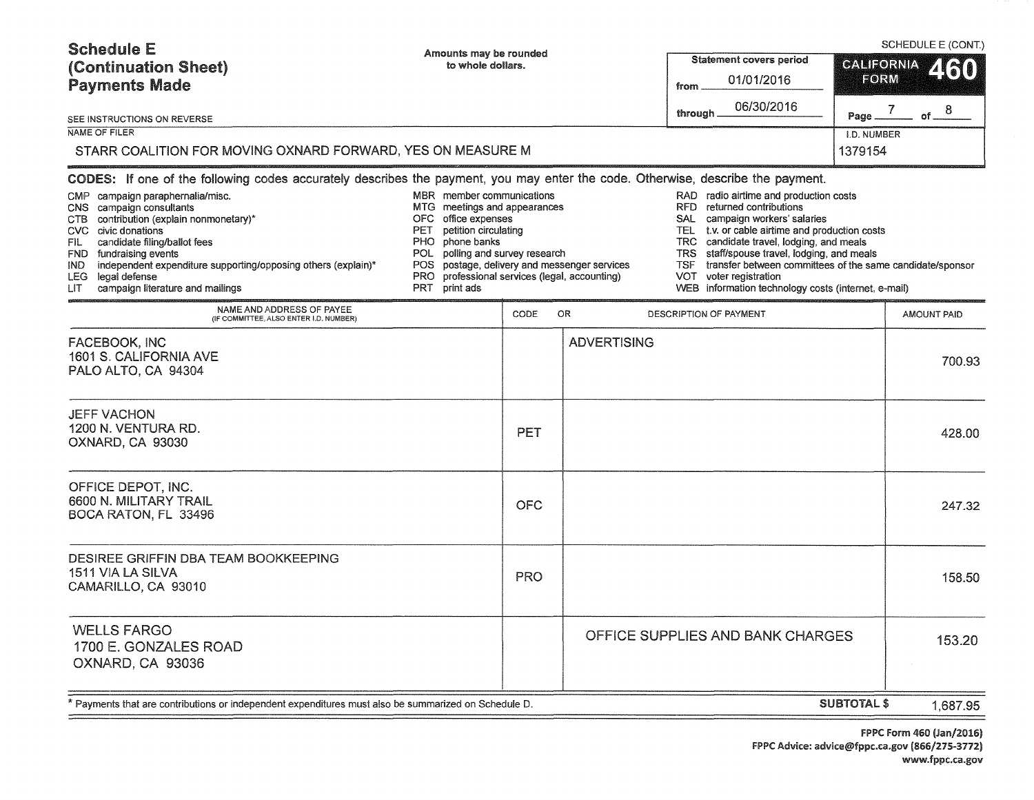| <b>Schedule E</b><br>(Continuation Sheet)<br><b>Payments Made</b>                                                                                                                                                                                                                                                                                                                                                                                                             | Amounts may be rounded<br>to whole dollars.                                                                                                                                                                                                                                                 |            |                    | <b>Statement covers period</b><br>01/01/2016<br>from                                                                                                                                                                                                                                                                                                                                                                                                  | <b>CALIFORNIA</b><br>FORM | SCHEDULE E (CONT.)<br>260 |
|-------------------------------------------------------------------------------------------------------------------------------------------------------------------------------------------------------------------------------------------------------------------------------------------------------------------------------------------------------------------------------------------------------------------------------------------------------------------------------|---------------------------------------------------------------------------------------------------------------------------------------------------------------------------------------------------------------------------------------------------------------------------------------------|------------|--------------------|-------------------------------------------------------------------------------------------------------------------------------------------------------------------------------------------------------------------------------------------------------------------------------------------------------------------------------------------------------------------------------------------------------------------------------------------------------|---------------------------|---------------------------|
| <b>SEE INSTRUCTIONS ON REVERSE</b>                                                                                                                                                                                                                                                                                                                                                                                                                                            |                                                                                                                                                                                                                                                                                             |            |                    | 06/30/2016<br>through                                                                                                                                                                                                                                                                                                                                                                                                                                 | $\sqrt{ }$<br>Page        | of $8$                    |
| NAME OF FILER<br>STARR COALITION FOR MOVING OXNARD FORWARD, YES ON MEASURE M                                                                                                                                                                                                                                                                                                                                                                                                  |                                                                                                                                                                                                                                                                                             |            |                    |                                                                                                                                                                                                                                                                                                                                                                                                                                                       | I.D. NUMBER<br>1379154    |                           |
| CODES: If one of the following codes accurately describes the payment, you may enter the code. Otherwise, describe the payment.<br>CMP campaign paraphernalia/misc.<br>CNS campaign consultants<br>CTB contribution (explain nonmonetary)*<br>CVC civic donations<br>candidate filing/ballot fees<br>FIL.<br>FND fundraising events<br>independent expenditure supporting/opposing others (explain)*<br>IND.<br>LEG legal defense<br>LIT.<br>campaign literature and mailings | MBR member communications<br>MTG meetings and appearances<br>OFC office expenses<br>petition circulating<br>PET<br>PHO phone banks<br>POL polling and survey research<br>POS postage, delivery and messenger services<br>PRO professional services (legal, accounting)<br>PRT.<br>print ads |            |                    | RAD radio airtime and production costs<br>returned contributions<br>RFD.<br><b>SAL</b><br>campaign workers' salaries<br>t.v. or cable airtime and production costs<br><b>TEL</b><br>candidate travel, lodging, and meals<br><b>TRC</b><br>staff/spouse travel, lodging, and meals<br><b>TRS</b><br>transfer between committees of the same candidate/sponsor<br>TSF.<br>VOT voter registration<br>WEB information technology costs (internet, e-mail) |                           |                           |
| NAME AND ADDRESS OF PAYEE<br>(IF COMMITTEE, ALSO ENTER I.D. NUMBER)                                                                                                                                                                                                                                                                                                                                                                                                           |                                                                                                                                                                                                                                                                                             | CODE       | OR.                | DESCRIPTION OF PAYMENT                                                                                                                                                                                                                                                                                                                                                                                                                                |                           | AMOUNT PAID               |
| FACEBOOK, INC<br>1601 S. CALIFORNIA AVE<br>PALO ALTO, CA 94304                                                                                                                                                                                                                                                                                                                                                                                                                |                                                                                                                                                                                                                                                                                             |            | <b>ADVERTISING</b> |                                                                                                                                                                                                                                                                                                                                                                                                                                                       |                           | 700.93                    |
| <b>JEFF VACHON</b><br>1200 N. VENTURA RD.<br>OXNARD, CA 93030                                                                                                                                                                                                                                                                                                                                                                                                                 |                                                                                                                                                                                                                                                                                             | <b>PET</b> |                    |                                                                                                                                                                                                                                                                                                                                                                                                                                                       |                           | 428.00                    |
| OFFICE DEPOT, INC.<br>6600 N. MILITARY TRAIL<br>BOCA RATON, FL 33496                                                                                                                                                                                                                                                                                                                                                                                                          |                                                                                                                                                                                                                                                                                             | <b>OFC</b> |                    |                                                                                                                                                                                                                                                                                                                                                                                                                                                       |                           | 247.32                    |
| DESIREE GRIFFIN DBA TEAM BOOKKEEPING<br>1511 VIA LA SILVA<br>CAMARILLO, CA 93010                                                                                                                                                                                                                                                                                                                                                                                              |                                                                                                                                                                                                                                                                                             | <b>PRO</b> |                    |                                                                                                                                                                                                                                                                                                                                                                                                                                                       |                           | 158.50                    |
| <b>WELLS FARGO</b><br>1700 E. GONZALES ROAD<br>OXNARD, CA 93036                                                                                                                                                                                                                                                                                                                                                                                                               |                                                                                                                                                                                                                                                                                             |            |                    | OFFICE SUPPLIES AND BANK CHARGES                                                                                                                                                                                                                                                                                                                                                                                                                      |                           | 153.20                    |
| Payments that are contributions or independent expenditures must also be summarized on Schedule D.                                                                                                                                                                                                                                                                                                                                                                            |                                                                                                                                                                                                                                                                                             |            |                    |                                                                                                                                                                                                                                                                                                                                                                                                                                                       | <b>SUBTOTAL \$</b>        | 1,687.95                  |